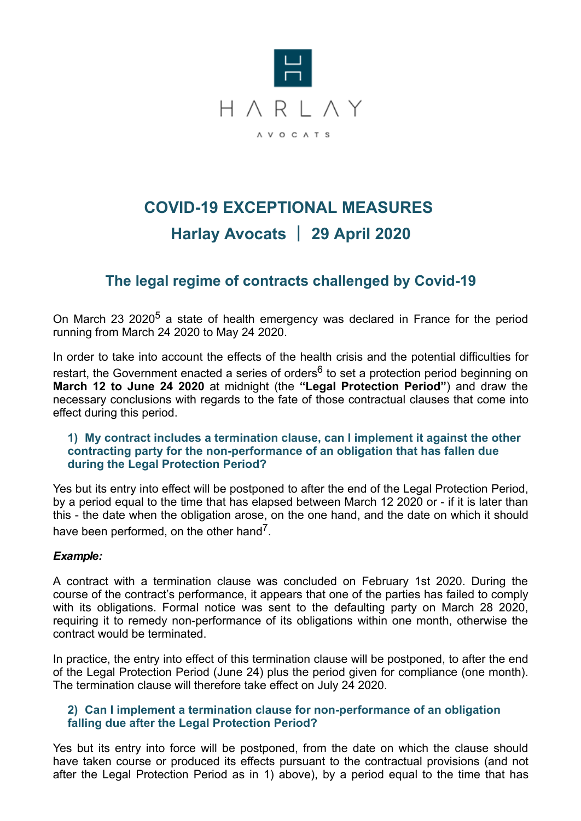

# **COVID-19 EXCEPTIONAL MEASURES Harlay Avocats** | **29 April 2020**

# **The legal regime of contracts challenged by Covid-19**

On March 23 2020<sup>5</sup> a state of health emergency was declared in France for the period running from March 24 2020 to May 24 2020.

In order to take into account the effects of the health crisis and the potential difficulties for restart, the Government enacted a series of orders<sup>6</sup> to set a protection period beginning on **March 12 to June 24 2020** at midnight (the **"Legal Protection Period"**) and draw the necessary conclusions with regards to the fate of those contractual clauses that come into effect during this period.

#### **1) My contract includes a termination clause, can I implement it against the other contracting party for the non-performance of an obligation that has fallen due during the Legal Protection Period?**

Yes but its entry into effect will be postponed to after the end of the Legal Protection Period, by a period equal to the time that has elapsed between March 12 2020 or - if it is later than this - the date when the obligation arose, on the one hand, and the date on which it should have been performed, on the other hand<sup>7</sup>.

#### *Example:*

A contract with a termination clause was concluded on February 1st 2020. During the course of the contract's performance, it appears that one of the parties has failed to comply with its obligations. Formal notice was sent to the defaulting party on March 28 2020, requiring it to remedy non-performance of its obligations within one month, otherwise the contract would be terminated.

In practice, the entry into effect of this termination clause will be postponed, to after the end of the Legal Protection Period (June 24) plus the period given for compliance (one month). The termination clause will therefore take effect on July 24 2020.

#### **2) Can I implement a termination clause for non-performance of an obligation falling due after the Legal Protection Period?**

Yes but its entry into force will be postponed, from the date on which the clause should have taken course or produced its effects pursuant to the contractual provisions (and not after the Legal Protection Period as in 1) above), by a period equal to the time that has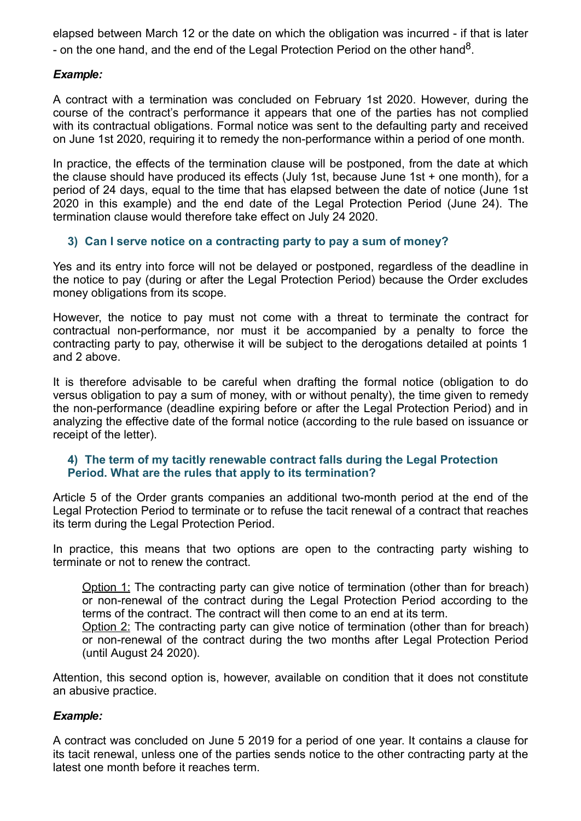elapsed between March 12 or the date on which the obligation was incurred - if that is later - on the one hand, and the end of the Legal Protection Period on the other hand<sup>8</sup>.

## *Example:*

A contract with a termination was concluded on February 1st 2020. However, during the course of the contract's performance it appears that one of the parties has not complied with its contractual obligations. Formal notice was sent to the defaulting party and received on June 1st 2020, requiring it to remedy the non-performance within a period of one month.

In practice, the effects of the termination clause will be postponed, from the date at which the clause should have produced its effects (July 1st, because June 1st + one month), for a period of 24 days, equal to the time that has elapsed between the date of notice (June 1st 2020 in this example) and the end date of the Legal Protection Period (June 24). The termination clause would therefore take effect on July 24 2020.

## **3) Can I serve notice on a contracting party to pay a sum of money?**

Yes and its entry into force will not be delayed or postponed, regardless of the deadline in the notice to pay (during or after the Legal Protection Period) because the Order excludes money obligations from its scope.

However, the notice to pay must not come with a threat to terminate the contract for contractual non-performance, nor must it be accompanied by a penalty to force the contracting party to pay, otherwise it will be subject to the derogations detailed at points 1 and 2 above.

It is therefore advisable to be careful when drafting the formal notice (obligation to do versus obligation to pay a sum of money, with or without penalty), the time given to remedy the non-performance (deadline expiring before or after the Legal Protection Period) and in analyzing the effective date of the formal notice (according to the rule based on issuance or receipt of the letter).

#### **4) The term of my tacitly renewable contract falls during the Legal Protection Period. What are the rules that apply to its termination?**

Article 5 of the Order grants companies an additional two-month period at the end of the Legal Protection Period to terminate or to refuse the tacit renewal of a contract that reaches its term during the Legal Protection Period.

In practice, this means that two options are open to the contracting party wishing to terminate or not to renew the contract.

Option 1: The contracting party can give notice of termination (other than for breach) or non-renewal of the contract during the Legal Protection Period according to the terms of the contract. The contract will then come to an end at its term.

Option 2: The contracting party can give notice of termination (other than for breach) or non-renewal of the contract during the two months after Legal Protection Period (until August 24 2020).

Attention, this second option is, however, available on condition that it does not constitute an abusive practice.

#### *Example:*

A contract was concluded on June 5 2019 for a period of one year. It contains a clause for its tacit renewal, unless one of the parties sends notice to the other contracting party at the latest one month before it reaches term.